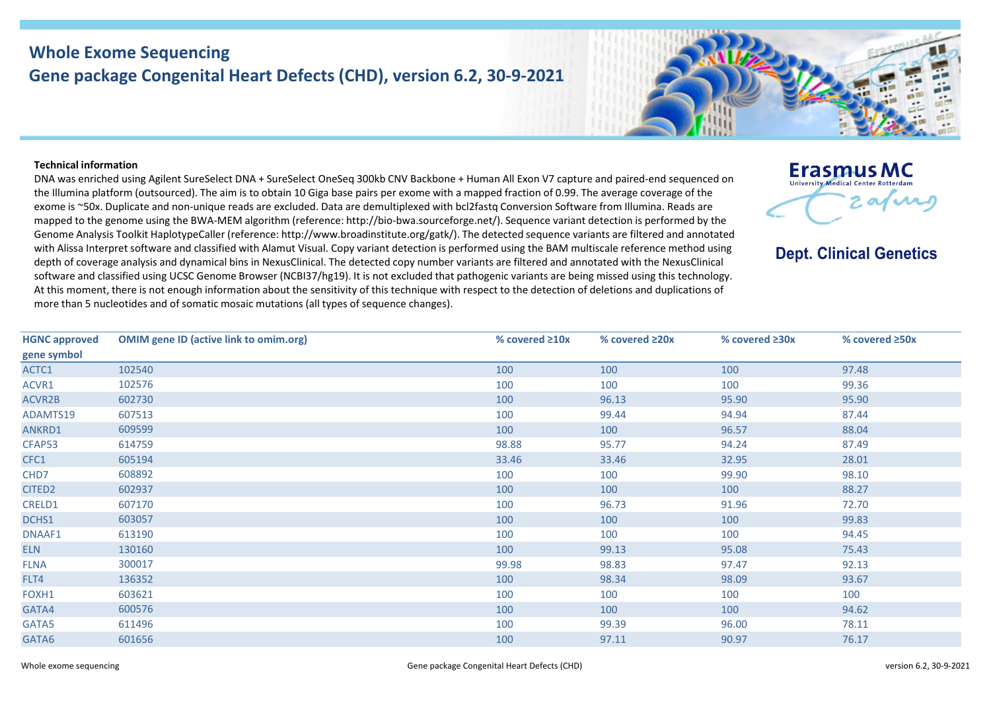## **Whole Exome Sequencing Gene package Congenital Heart Defects (CHD), version 6.2, 30-9-2021**

## **Technical information**

DNA was enriched using Agilent SureSelect DNA + SureSelect OneSeq 300kb CNV Backbone + Human All Exon V7 capture and paired-end sequenced on the Illumina platform (outsourced). The aim is to obtain 10 Giga base pairs per exome with a mapped fraction of 0.99. The average coverage of the exome is ~50x. Duplicate and non-unique reads are excluded. Data are demultiplexed with bcl2fastq Conversion Software from Illumina. Reads are mapped to the genome using the BWA-MEM algorithm (reference: http://bio-bwa.sourceforge.net/). Sequence variant detection is performed by the Genome Analysis Toolkit HaplotypeCaller (reference: http://www.broadinstitute.org/gatk/). The detected sequence variants are filtered and annotated with Alissa Interpret software and classified with Alamut Visual. Copy variant detection is performed using the BAM multiscale reference method using depth of coverage analysis and dynamical bins in NexusClinical. The detected copy number variants are filtered and annotated with the NexusClinical software and classified using UCSC Genome Browser (NCBI37/hg19). It is not excluded that pathogenic variants are being missed using this technology. At this moment, there is not enough information about the sensitivity of this technique with respect to the detection of deletions and duplications of more than 5 nucleotides and of somatic mosaic mutations (all types of sequence changes).



**Dept. Clinical Genetics** 

| <b>HGNC approved</b> | <b>OMIM gene ID (active link to omim.org)</b> | % covered $\geq 10x$ | % covered $\geq 20x$ | % covered $\geq 30x$ | % covered $\geq 50x$ |
|----------------------|-----------------------------------------------|----------------------|----------------------|----------------------|----------------------|
| gene symbol          |                                               |                      |                      |                      |                      |
| ACTC1                | 102540                                        | 100                  | 100                  | 100                  | 97.48                |
| ACVR1                | 102576                                        | 100                  | 100                  | 100                  | 99.36                |
| ACVR2B               | 602730                                        | 100                  | 96.13                | 95.90                | 95.90                |
| ADAMTS19             | 607513                                        | 100                  | 99.44                | 94.94                | 87.44                |
| ANKRD1               | 609599                                        | 100                  | 100                  | 96.57                | 88.04                |
| CFAP53               | 614759                                        | 98.88                | 95.77                | 94.24                | 87.49                |
| CFC1                 | 605194                                        | 33.46                | 33.46                | 32.95                | 28.01                |
| CHD7                 | 608892                                        | 100                  | 100                  | 99.90                | 98.10                |
| CITED <sub>2</sub>   | 602937                                        | 100                  | 100                  | 100                  | 88.27                |
| CRELD1               | 607170                                        | 100                  | 96.73                | 91.96                | 72.70                |
| DCHS1                | 603057                                        | 100                  | 100                  | 100                  | 99.83                |
| DNAAF1               | 613190                                        | 100                  | 100                  | 100                  | 94.45                |
| <b>ELN</b>           | 130160                                        | 100                  | 99.13                | 95.08                | 75.43                |
| <b>FLNA</b>          | 300017                                        | 99.98                | 98.83                | 97.47                | 92.13                |
| FLT4                 | 136352                                        | 100                  | 98.34                | 98.09                | 93.67                |
| FOXH1                | 603621                                        | 100                  | 100                  | 100                  | 100                  |
| GATA4                | 600576                                        | 100                  | 100                  | 100                  | 94.62                |
| GATA5                | 611496                                        | 100                  | 99.39                | 96.00                | 78.11                |
| GATA6                | 601656                                        | 100                  | 97.11                | 90.97                | 76.17                |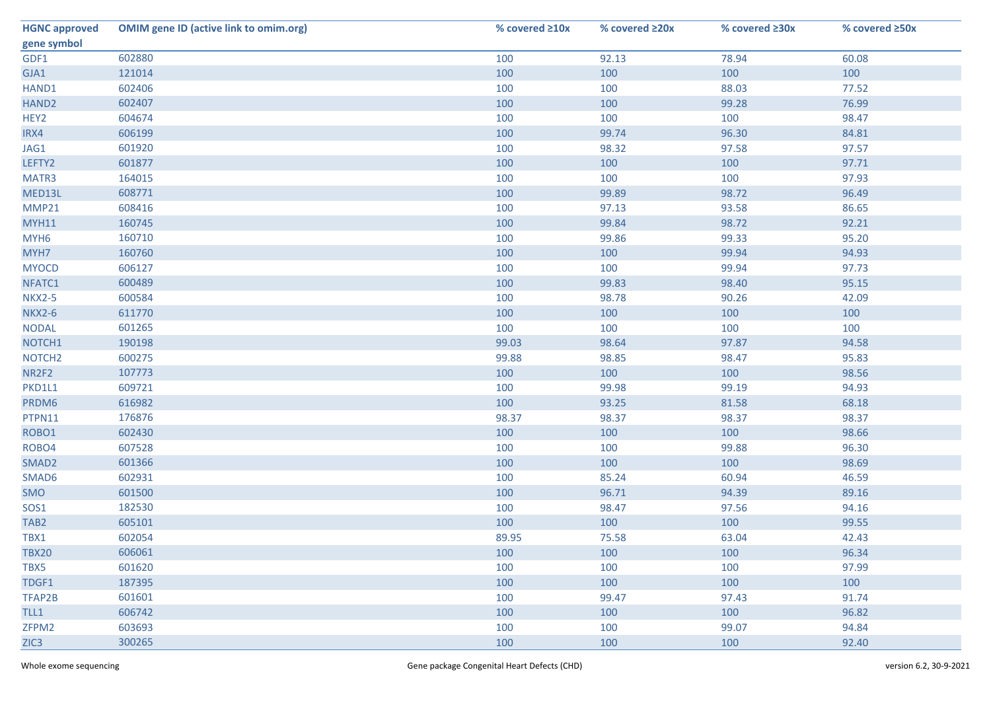| <b>HGNC approved</b> | <b>OMIM gene ID (active link to omim.org)</b> | % covered $\geq 10x$ | % covered ≥20x | % covered ≥30x | % covered ≥50x |
|----------------------|-----------------------------------------------|----------------------|----------------|----------------|----------------|
| gene symbol          |                                               |                      |                |                |                |
| GDF1                 | 602880                                        | 100                  | 92.13          | 78.94          | 60.08          |
| GJA1                 | 121014                                        | 100                  | 100            | 100            | 100            |
| HAND1                | 602406                                        | 100                  | 100            | 88.03          | 77.52          |
| HAND <sub>2</sub>    | 602407                                        | 100                  | 100            | 99.28          | 76.99          |
| HEY2                 | 604674                                        | 100                  | 100            | 100            | 98.47          |
| IRX4                 | 606199                                        | 100                  | 99.74          | 96.30          | 84.81          |
| JAG1                 | 601920                                        | 100                  | 98.32          | 97.58          | 97.57          |
| LEFTY2               | 601877                                        | 100                  | 100            | 100            | 97.71          |
| MATR3                | 164015                                        | 100                  | 100            | 100            | 97.93          |
| MED13L               | 608771                                        | 100                  | 99.89          | 98.72          | 96.49          |
| MMP21                | 608416                                        | 100                  | 97.13          | 93.58          | 86.65          |
| <b>MYH11</b>         | 160745                                        | 100                  | 99.84          | 98.72          | 92.21          |
| MYH <sub>6</sub>     | 160710                                        | 100                  | 99.86          | 99.33          | 95.20          |
| MYH7                 | 160760                                        | 100                  | 100            | 99.94          | 94.93          |
| <b>MYOCD</b>         | 606127                                        | 100                  | 100            | 99.94          | 97.73          |
| NFATC1               | 600489                                        | 100                  | 99.83          | 98.40          | 95.15          |
| <b>NKX2-5</b>        | 600584                                        | 100                  | 98.78          | 90.26          | 42.09          |
| <b>NKX2-6</b>        | 611770                                        | 100                  | 100            | 100            | 100            |
| <b>NODAL</b>         | 601265                                        | 100                  | 100            | 100            | 100            |
| NOTCH1               | 190198                                        | 99.03                | 98.64          | 97.87          | 94.58          |
| NOTCH <sub>2</sub>   | 600275                                        | 99.88                | 98.85          | 98.47          | 95.83          |
| NR2F2                | 107773                                        | 100                  | 100            | 100            | 98.56          |
| PKD1L1               | 609721                                        | 100                  | 99.98          | 99.19          | 94.93          |
| PRDM6                | 616982                                        | 100                  | 93.25          | 81.58          | 68.18          |
| PTPN11               | 176876                                        | 98.37                | 98.37          | 98.37          | 98.37          |
| ROBO1                | 602430                                        | 100                  | 100            | 100            | 98.66          |
| ROBO4                | 607528                                        | 100                  | 100            | 99.88          | 96.30          |
| SMAD <sub>2</sub>    | 601366                                        | 100                  | 100            | 100            | 98.69          |
| SMAD6                | 602931                                        | 100                  | 85.24          | 60.94          | 46.59          |
| SMO                  | 601500                                        | 100                  | 96.71          | 94.39          | 89.16          |
| SOS1                 | 182530                                        | 100                  | 98.47          | 97.56          | 94.16          |
| TAB <sub>2</sub>     | 605101                                        | 100                  | 100            | 100            | 99.55          |
| TBX1                 | 602054                                        | 89.95                | 75.58          | 63.04          | 42.43          |
| <b>TBX20</b>         | 606061                                        | 100                  | 100            | 100            | 96.34          |
| TBX5                 | 601620                                        | 100                  | 100            | 100            | 97.99          |
| TDGF1                | 187395                                        | 100                  | 100            | 100            | 100            |
| TFAP2B               | 601601                                        | 100                  | 99.47          | 97.43          | 91.74          |
| TLL1                 | 606742                                        | 100                  | 100            | 100            | 96.82          |
| ZFPM2                | 603693                                        | 100                  | 100            | 99.07          | 94.84          |
| ZIC <sub>3</sub>     | 300265                                        | 100                  | 100            | 100            | 92.40          |